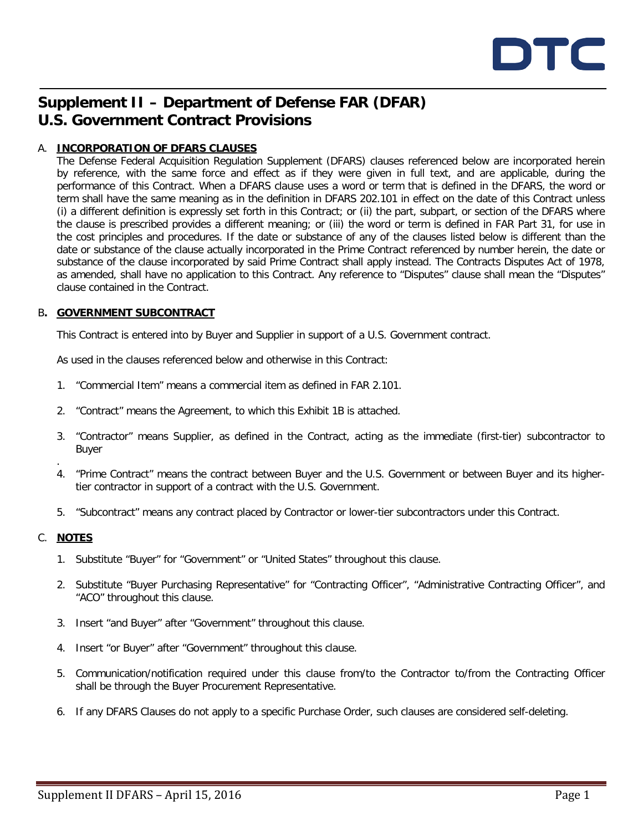

# **Supplement II – Department of Defense FAR (DFAR) U.S. Government Contract Provisions**

## A. **INCORPORATION OF DFARS CLAUSES**

The Defense Federal Acquisition Regulation Supplement (DFARS) clauses referenced below are incorporated herein by reference, with the same force and effect as if they were given in full text, and are applicable, during the performance of this Contract. When a DFARS clause uses a word or term that is defined in the DFARS, the word or term shall have the same meaning as in the definition in DFARS 202.101 in effect on the date of this Contract unless (i) a different definition is expressly set forth in this Contract; or (ii) the part, subpart, or section of the DFARS where the clause is prescribed provides a different meaning; or (iii) the word or term is defined in FAR Part 31, for use in the cost principles and procedures. If the date or substance of any of the clauses listed below is different than the date or substance of the clause actually incorporated in the Prime Contract referenced by number herein, the date or substance of the clause incorporated by said Prime Contract shall apply instead. The Contracts Disputes Act of 1978, as amended, shall have no application to this Contract. Any reference to "Disputes" clause shall mean the "Disputes" clause contained in the Contract.

### B**. GOVERNMENT SUBCONTRACT**

This Contract is entered into by Buyer and Supplier in support of a U.S. Government contract.

As used in the clauses referenced below and otherwise in this Contract:

- 1. "Commercial Item" means a commercial item as defined in FAR 2.101.
- 2. "Contract" means the Agreement, to which this Exhibit 1B is attached.
- 3. "Contractor" means Supplier, as defined in the Contract, acting as the immediate (first-tier) subcontractor to Buyer
- . 4. "Prime Contract" means the contract between Buyer and the U.S. Government or between Buyer and its highertier contractor in support of a contract with the U.S. Government.
- 5. "Subcontract" means any contract placed by Contractor or lower-tier subcontractors under this Contract.

## C. **NOTES**

- 1. Substitute "Buyer" for "Government" or "United States" throughout this clause.
- 2. Substitute "Buyer Purchasing Representative" for "Contracting Officer", "Administrative Contracting Officer", and "ACO" throughout this clause.
- 3. Insert "and Buyer" after "Government" throughout this clause.
- 4. Insert "or Buyer" after "Government" throughout this clause.
- 5. Communication/notification required under this clause from/to the Contractor to/from the Contracting Officer shall be through the Buyer Procurement Representative.
- 6. If any DFARS Clauses do not apply to a specific Purchase Order, such clauses are considered self-deleting.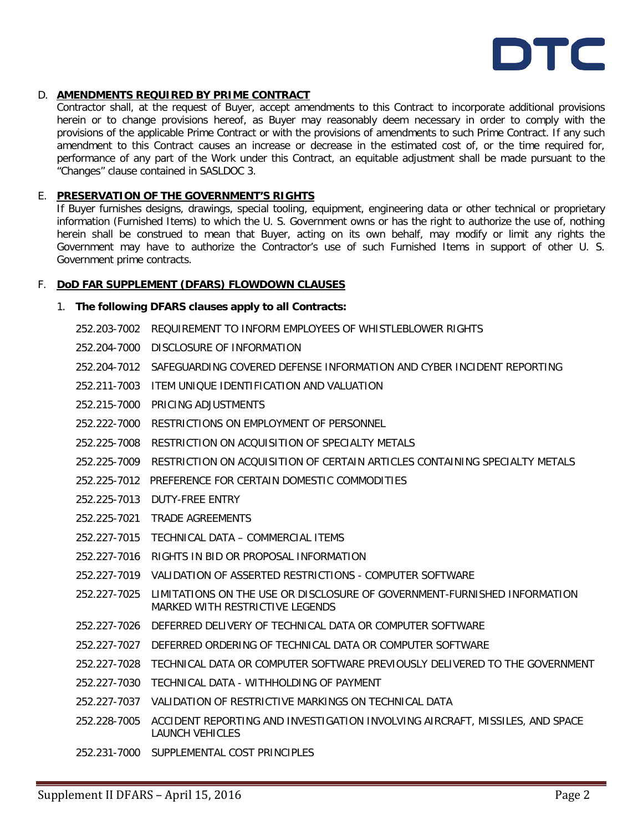

#### D. **AMENDMENTS REQUIRED BY PRIME CONTRACT**

Contractor shall, at the request of Buyer, accept amendments to this Contract to incorporate additional provisions herein or to change provisions hereof, as Buyer may reasonably deem necessary in order to comply with the provisions of the applicable Prime Contract or with the provisions of amendments to such Prime Contract. If any such amendment to this Contract causes an increase or decrease in the estimated cost of, or the time required for, performance of any part of the Work under this Contract, an equitable adjustment shall be made pursuant to the "Changes" clause contained in SASLDOC 3.

## E. **PRESERVATION OF THE GOVERNMENT'S RIGHTS**

If Buyer furnishes designs, drawings, special tooling, equipment, engineering data or other technical or proprietary information (Furnished Items) to which the U. S. Government owns or has the right to authorize the use of, nothing herein shall be construed to mean that Buyer, acting on its own behalf, may modify or limit any rights the Government may have to authorize the Contractor's use of such Furnished Items in support of other U. S. Government prime contracts.

#### F. **DoD FAR SUPPLEMENT (DFARS) FLOWDOWN CLAUSES**

#### 1. **The following DFARS clauses apply to all Contracts:**

- 252.203-7002 REQUIREMENT TO INFORM EMPLOYEES OF WHISTLEBLOWER RIGHTS
- 252.204-7000 DISCLOSURE OF INFORMATION
- 252.204-7012 SAFEGUARDING COVERED DEFENSE INFORMATION AND CYBER INCIDENT REPORTING
- 252.211-7003 ITEM UNIQUE IDENTIFICATION AND VALUATION
- 252.215-7000 PRICING ADJUSTMENTS
- 252.222-7000 RESTRICTIONS ON EMPLOYMENT OF PERSONNEL
- 252.225-7008 RESTRICTION ON ACQUISITION OF SPECIALTY METALS
- 252.225-7009 RESTRICTION ON ACQUISITION OF CERTAIN ARTICLES CONTAINING SPECIALTY METALS
- 252.225-7012 PREFERENCE FOR CERTAIN DOMESTIC COMMODITIES
- 252.225-7013 DUTY-FREE ENTRY
- 252.225-7021 TRADE AGREEMENTS
- 252.227-7015 TECHNICAL DATA COMMERCIAL ITEMS
- 252.227-7016 RIGHTS IN BID OR PROPOSAL INFORMATION
- 252.227-7019 VALIDATION OF ASSERTED RESTRICTIONS COMPUTER SOFTWARE
- 252.227-7025 LIMITATIONS ON THE USE OR DISCLOSURE OF GOVERNMENT-FURNISHED INFORMATION MARKED WITH RESTRICTIVE LEGENDS
- 252.227-7026 DEFERRED DELIVERY OF TECHNICAL DATA OR COMPUTER SOFTWARE
- 252.227-7027 DEFERRED ORDERING OF TECHNICAL DATA OR COMPUTER SOFTWARE
- 252.227-7028 TECHNICAL DATA OR COMPUTER SOFTWARE PREVIOUSLY DELIVERED TO THE GOVERNMENT
- 252.227-7030 TECHNICAL DATA WITHHOLDING OF PAYMENT
- 252.227-7037 VALIDATION OF RESTRICTIVE MARKINGS ON TECHNICAL DATA
- 252.228-7005 ACCIDENT REPORTING AND INVESTIGATION INVOLVING AIRCRAFT, MISSILES, AND SPACE LAUNCH VEHICLES
- 252.231-7000 SUPPLEMENTAL COST PRINCIPLES